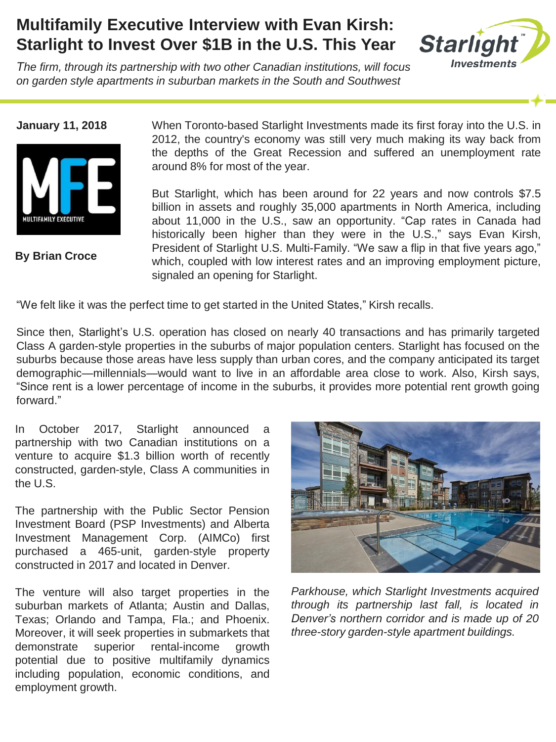## **Multifamily Executive Interview with Evan Kirsh: Starlight to Invest Over \$1B in the U.S. This Year**

*The firm, through its partnership with two other Canadian institutions, will focus on garden style apartments in suburban markets in the South and Southwest*

**Starlight Investments** 

**January 11, 2018**



**By Brian Croce**

When Toronto-based Starlight Investments made its first foray into the U.S. in 2012, the country's economy was still very much making its way back from the depths of the Great Recession and suffered an unemployment rate around 8% for most of the year.

But Starlight, which has been around for 22 years and now controls \$7.5 billion in assets and roughly 35,000 apartments in North America, including about 11,000 in the U.S., saw an opportunity. "Cap rates in Canada had historically been higher than they were in the U.S.," says Evan Kirsh, President of Starlight U.S. Multi-Family. "We saw a flip in that five years ago," which, coupled with low interest rates and an improving employment picture, signaled an opening for Starlight.

"We felt like it was the perfect time to get started in the United States," Kirsh recalls.

Since then, Starlight's U.S. operation has closed on nearly 40 transactions and has primarily targeted Class A garden-style properties in the suburbs of major population centers. Starlight has focused on the suburbs because those areas have less supply than urban cores, and the company anticipated its target demographic—millennials—would want to live in an affordable area close to work. Also, Kirsh says, "Since rent is a lower percentage of income in the suburbs, it provides more potential rent growth going forward."

In October 2017, Starlight announced a partnership with two Canadian institutions on a venture to acquire \$1.3 billion worth of recently constructed, garden-style, Class A communities in the U.S.

The partnership with the Public Sector Pension Investment Board (PSP Investments) and Alberta Investment Management Corp. (AIMCo) first purchased a 465-unit, garden-style property constructed in 2017 and located in Denver.

The venture will also target properties in the suburban markets of Atlanta; Austin and Dallas, Texas; Orlando and Tampa, Fla.; and Phoenix. Moreover, it will seek properties in submarkets that demonstrate superior rental-income growth potential due to positive multifamily dynamics including population, economic conditions, and employment growth.



*Parkhouse, which Starlight Investments acquired through its partnership last fall, is located in Denver's northern corridor and is made up of 20 three-story garden-style apartment buildings.*